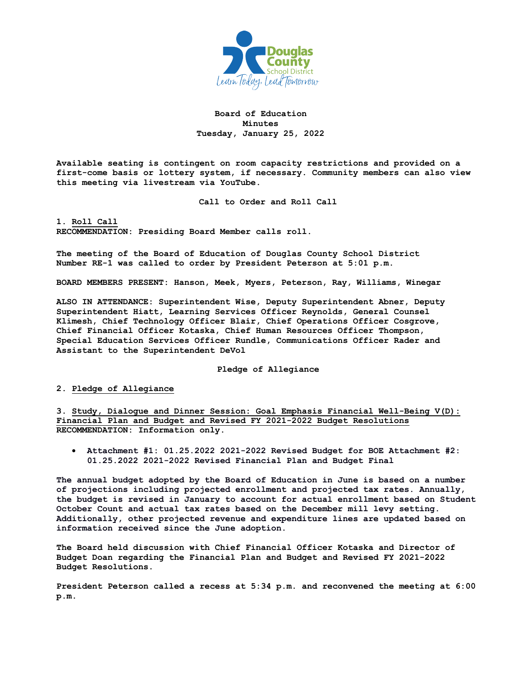

**Board of Education Minutes Tuesday, January 25, 2022**

**Available seating is contingent on room capacity restrictions and provided on a first-come basis or lottery system, if necessary. Community members can also view this meeting via livestream via YouTube.** 

**Call to Order and Roll Call**

**1. Roll Call RECOMMENDATION: Presiding Board Member calls roll.** 

**The meeting of the Board of Education of Douglas County School District Number RE-1 was called to order by President Peterson at 5:01 p.m.**

**BOARD MEMBERS PRESENT: Hanson, Meek, Myers, Peterson, Ray, Williams, Winegar**

**ALSO IN ATTENDANCE: Superintendent Wise, Deputy Superintendent Abner, Deputy Superintendent Hiatt, Learning Services Officer Reynolds, General Counsel Klimesh, Chief Technology Officer Blair, Chief Operations Officer Cosgrove, Chief Financial Officer Kotaska, Chief Human Resources Officer Thompson, Special Education Services Officer Rundle, Communications Officer Rader and Assistant to the Superintendent DeVol**

**Pledge of Allegiance**

**2. Pledge of Allegiance**

**3. Study, Dialogue and Dinner Session: Goal Emphasis Financial Well-Being V(D): Financial Plan and Budget and Revised FY 2021-2022 Budget Resolutions RECOMMENDATION: Information only.**

• **Attachment #1: 01.25.2022 2021-2022 Revised Budget for BOE Attachment #2: 01.25.2022 2021-2022 Revised Financial Plan and Budget Final**

**The annual budget adopted by the Board of Education in June is based on a number of projections including projected enrollment and projected tax rates. Annually, the budget is revised in January to account for actual enrollment based on Student October Count and actual tax rates based on the December mill levy setting. Additionally, other projected revenue and expenditure lines are updated based on information received since the June adoption.**

**The Board held discussion with Chief Financial Officer Kotaska and Director of Budget Doan regarding the Financial Plan and Budget and Revised FY 2021-2022 Budget Resolutions.** 

**President Peterson called a recess at 5:34 p.m. and reconvened the meeting at 6:00 p.m.**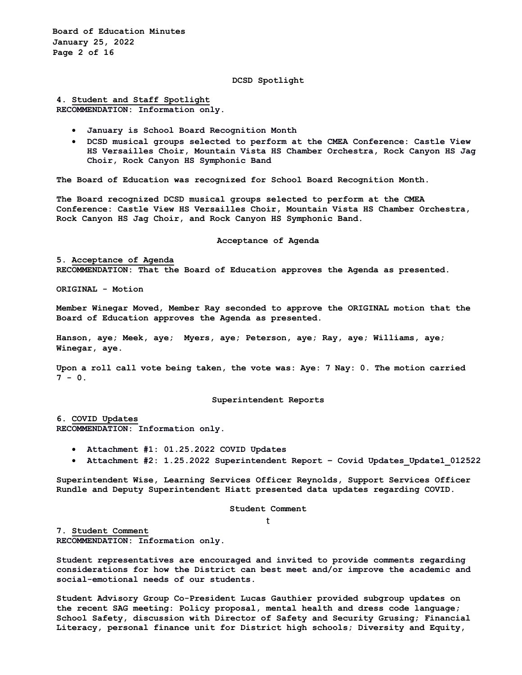**Board of Education Minutes January 25, 2022 Page 2 of 16**

#### **DCSD Spotlight**

**4. Student and Staff Spotlight RECOMMENDATION: Information only.**

- **January is School Board Recognition Month**
- **DCSD musical groups selected to perform at the CMEA Conference: Castle View HS Versailles Choir, Mountain Vista HS Chamber Orchestra, Rock Canyon HS Jag Choir, Rock Canyon HS Symphonic Band**

**The Board of Education was recognized for School Board Recognition Month.** 

**The Board recognized DCSD musical groups selected to perform at the CMEA Conference: Castle View HS Versailles Choir, Mountain Vista HS Chamber Orchestra, Rock Canyon HS Jag Choir, and Rock Canyon HS Symphonic Band.** 

#### **Acceptance of Agenda**

**5. Acceptance of Agenda RECOMMENDATION: That the Board of Education approves the Agenda as presented.** 

**ORIGINAL - Motion** 

**Member Winegar Moved, Member Ray seconded to approve the ORIGINAL motion that the Board of Education approves the Agenda as presented.** 

**Hanson, aye; Meek, aye; Myers, aye; Peterson, aye; Ray, aye; Williams, aye; Winegar, aye.**

**Upon a roll call vote being taken, the vote was: Aye: 7 Nay: 0. The motion carried**  $7 - 0.$ 

**Superintendent Reports**

**6. COVID Updates RECOMMENDATION: Information only.**

- **Attachment #1: 01.25.2022 COVID Updates**
- **Attachment #2: 1.25.2022 Superintendent Report – Covid Updates\_Update1\_012522**

**Superintendent Wise, Learning Services Officer Reynolds, Support Services Officer Rundle and Deputy Superintendent Hiatt presented data updates regarding COVID.** 

**Student Comment**

t

**7. Student Comment RECOMMENDATION: Information only.**

**Student representatives are encouraged and invited to provide comments regarding considerations for how the District can best meet and/or improve the academic and social-emotional needs of our students.**

**Student Advisory Group Co-President Lucas Gauthier provided subgroup updates on the recent SAG meeting: Policy proposal, mental health and dress code language; School Safety, discussion with Director of Safety and Security Grusing; Financial Literacy, personal finance unit for District high schools; Diversity and Equity,**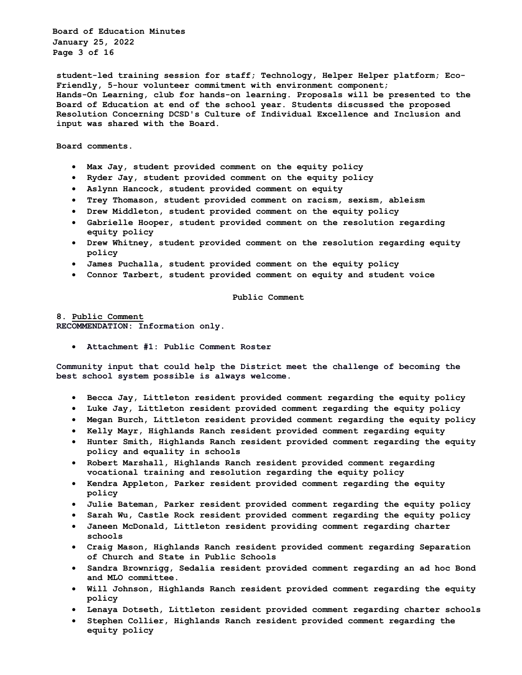**Board of Education Minutes January 25, 2022 Page 3 of 16**

**student-led training session for staff; Technology, Helper Helper platform; Eco-Friendly, 5-hour volunteer commitment with environment component; Hands-On Learning, club for hands-on learning. Proposals will be presented to the Board of Education at end of the school year. Students discussed the proposed Resolution Concerning DCSD's Culture of Individual Excellence and Inclusion and input was shared with the Board.**

**Board comments.** 

- **Max Jay, student provided comment on the equity policy**
- **Ryder Jay, student provided comment on the equity policy**
- **Aslynn Hancock, student provided comment on equity**
- **Trey Thomason, student provided comment on racism, sexism, ableism**
- **Drew Middleton, student provided comment on the equity policy**
- **Gabrielle Hooper, student provided comment on the resolution regarding equity policy**
- **Drew Whitney, student provided comment on the resolution regarding equity policy**
- **James Puchalla, student provided comment on the equity policy**
- **Connor Tarbert, student provided comment on equity and student voice**

**Public Comment**

**8. Public Comment RECOMMENDATION: Information only.**

• **Attachment #1: Public Comment Roster**

**Community input that could help the District meet the challenge of becoming the best school system possible is always welcome.**

- **Becca Jay, Littleton resident provided comment regarding the equity policy**
- **Luke Jay, Littleton resident provided comment regarding the equity policy**
- **Megan Burch, Littleton resident provided comment regarding the equity policy**
- **Kelly Mayr, Highlands Ranch resident provided comment regarding equity**
- **Hunter Smith, Highlands Ranch resident provided comment regarding the equity policy and equality in schools**
- **Robert Marshall, Highlands Ranch resident provided comment regarding vocational training and resolution regarding the equity policy**
- **Kendra Appleton, Parker resident provided comment regarding the equity policy**
- **Julie Bateman, Parker resident provided comment regarding the equity policy**
- **Sarah Wu, Castle Rock resident provided comment regarding the equity policy**
- **Janeen McDonald, Littleton resident providing comment regarding charter schools**
- **Craig Mason, Highlands Ranch resident provided comment regarding Separation of Church and State in Public Schools**
- **Sandra Brownrigg, Sedalia resident provided comment regarding an ad hoc Bond and MLO committee.**
- **Will Johnson, Highlands Ranch resident provided comment regarding the equity policy**
- **Lenaya Dotseth, Littleton resident provided comment regarding charter schools**
- **Stephen Collier, Highlands Ranch resident provided comment regarding the equity policy**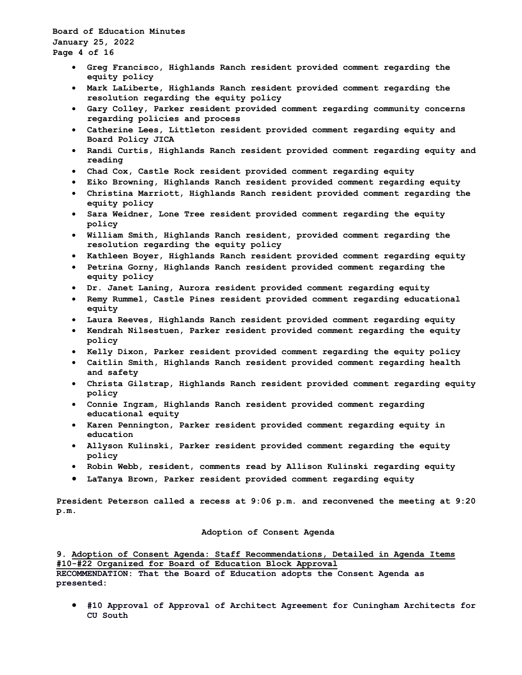**Board of Education Minutes January 25, 2022 Page 4 of 16**

- **Greg Francisco, Highlands Ranch resident provided comment regarding the equity policy**
- **Mark LaLiberte, Highlands Ranch resident provided comment regarding the resolution regarding the equity policy**
- **Gary Colley, Parker resident provided comment regarding community concerns regarding policies and process**
- **Catherine Lees, Littleton resident provided comment regarding equity and Board Policy JICA**
- **Randi Curtis, Highlands Ranch resident provided comment regarding equity and reading**
- **Chad Cox, Castle Rock resident provided comment regarding equity**
- **Eiko Browning, Highlands Ranch resident provided comment regarding equity**
- **Christina Marriott, Highlands Ranch resident provided comment regarding the equity policy**
- **Sara Weidner, Lone Tree resident provided comment regarding the equity policy**
- **William Smith, Highlands Ranch resident, provided comment regarding the resolution regarding the equity policy**
- **Kathleen Boyer, Highlands Ranch resident provided comment regarding equity**
- **Petrina Gorny, Highlands Ranch resident provided comment regarding the equity policy**
- **Dr. Janet Laning, Aurora resident provided comment regarding equity**
- **Remy Rummel, Castle Pines resident provided comment regarding educational equity**
- **Laura Reeves, Highlands Ranch resident provided comment regarding equity**
- **Kendrah Nilsestuen, Parker resident provided comment regarding the equity policy**
- **Kelly Dixon, Parker resident provided comment regarding the equity policy**
- **Caitlin Smith, Highlands Ranch resident provided comment regarding health and safety**
- **Christa Gilstrap, Highlands Ranch resident provided comment regarding equity policy**
- **Connie Ingram, Highlands Ranch resident provided comment regarding educational equity**
- **Karen Pennington, Parker resident provided comment regarding equity in education**
- **Allyson Kulinski, Parker resident provided comment regarding the equity policy**
- **Robin Webb, resident, comments read by Allison Kulinski regarding equity**
- **LaTanya Brown, Parker resident provided comment regarding equity**

**President Peterson called a recess at 9:06 p.m. and reconvened the meeting at 9:20 p.m.**

#### **Adoption of Consent Agenda**

**9. Adoption of Consent Agenda: Staff Recommendations, Detailed in Agenda Items #10-#22 Organized for Board of Education Block Approval**

**RECOMMENDATION: That the Board of Education adopts the Consent Agenda as presented:** 

• **#10 Approval of Approval of Architect Agreement for Cuningham Architects for CU South**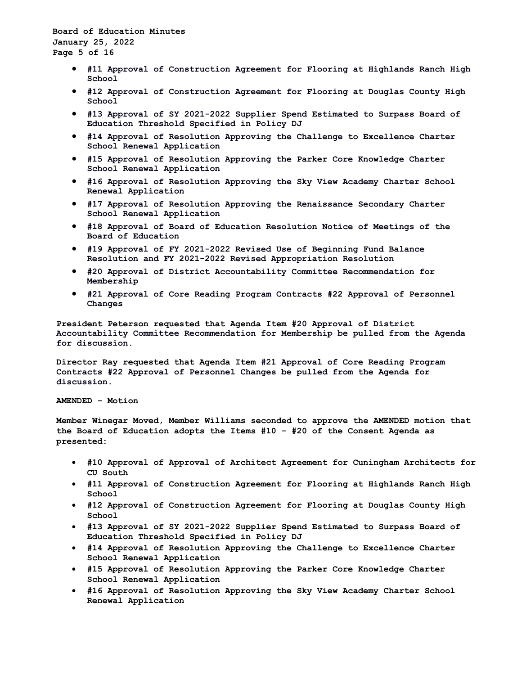**Board of Education Minutes January 25, 2022 Page 5 of 16**

- **#11 Approval of Construction Agreement for Flooring at Highlands Ranch High School**
- **#12 Approval of Construction Agreement for Flooring at Douglas County High School**
- **#13 Approval of SY 2021-2022 Supplier Spend Estimated to Surpass Board of Education Threshold Specified in Policy DJ**
- **#14 Approval of Resolution Approving the Challenge to Excellence Charter School Renewal Application**
- **#15 Approval of Resolution Approving the Parker Core Knowledge Charter School Renewal Application**
- **#16 Approval of Resolution Approving the Sky View Academy Charter School Renewal Application**
- **#17 Approval of Resolution Approving the Renaissance Secondary Charter School Renewal Application**
- **#18 Approval of Board of Education Resolution Notice of Meetings of the Board of Education**
- **#19 Approval of FY 2021-2022 Revised Use of Beginning Fund Balance Resolution and FY 2021-2022 Revised Appropriation Resolution**
- **#20 Approval of District Accountability Committee Recommendation for Membership**
- **#21 Approval of Core Reading Program Contracts #22 Approval of Personnel Changes**

**President Peterson requested that Agenda Item #20 Approval of District Accountability Committee Recommendation for Membership be pulled from the Agenda for discussion.**

**Director Ray requested that Agenda Item #21 Approval of Core Reading Program Contracts #22 Approval of Personnel Changes be pulled from the Agenda for discussion.**

**AMENDED - Motion**

**Member Winegar Moved, Member Williams seconded to approve the AMENDED motion that the Board of Education adopts the Items #10 - #20 of the Consent Agenda as presented:**

- **#10 Approval of Approval of Architect Agreement for Cuningham Architects for CU South**
- **#11 Approval of Construction Agreement for Flooring at Highlands Ranch High School**
- **#12 Approval of Construction Agreement for Flooring at Douglas County High School**
- **#13 Approval of SY 2021-2022 Supplier Spend Estimated to Surpass Board of Education Threshold Specified in Policy DJ**
- **#14 Approval of Resolution Approving the Challenge to Excellence Charter School Renewal Application**
- **#15 Approval of Resolution Approving the Parker Core Knowledge Charter School Renewal Application**
- **#16 Approval of Resolution Approving the Sky View Academy Charter School Renewal Application**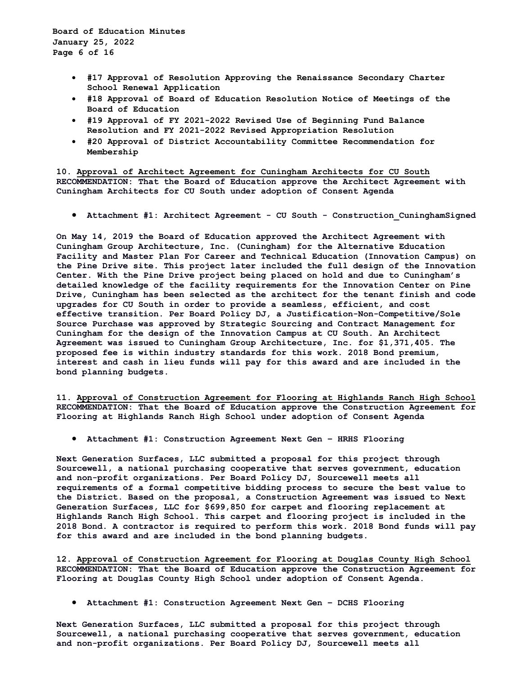**Board of Education Minutes January 25, 2022 Page 6 of 16**

- **#17 Approval of Resolution Approving the Renaissance Secondary Charter School Renewal Application**
- **#18 Approval of Board of Education Resolution Notice of Meetings of the Board of Education**
- **#19 Approval of FY 2021-2022 Revised Use of Beginning Fund Balance Resolution and FY 2021-2022 Revised Appropriation Resolution**
- **#20 Approval of District Accountability Committee Recommendation for Membership**

**10. Approval of Architect Agreement for Cuningham Architects for CU South RECOMMENDATION: That the Board of Education approve the Architect Agreement with Cuningham Architects for CU South under adoption of Consent Agenda**

• **Attachment #1: Architect Agreement - CU South - Construction\_CuninghamSigned**

**On May 14, 2019 the Board of Education approved the Architect Agreement with Cuningham Group Architecture, Inc. (Cuningham) for the Alternative Education Facility and Master Plan For Career and Technical Education (Innovation Campus) on the Pine Drive site. This project later included the full design of the Innovation Center. With the Pine Drive project being placed on hold and due to Cuningham's detailed knowledge of the facility requirements for the Innovation Center on Pine Drive, Cuningham has been selected as the architect for the tenant finish and code upgrades for CU South in order to provide a seamless, efficient, and cost effective transition. Per Board Policy DJ, a Justification-Non-Competitive/Sole Source Purchase was approved by Strategic Sourcing and Contract Management for Cuningham for the design of the Innovation Campus at CU South. An Architect Agreement was issued to Cuningham Group Architecture, Inc. for \$1,371,405. The proposed fee is within industry standards for this work. 2018 Bond premium, interest and cash in lieu funds will pay for this award and are included in the bond planning budgets.**

**11. Approval of Construction Agreement for Flooring at Highlands Ranch High School RECOMMENDATION: That the Board of Education approve the Construction Agreement for Flooring at Highlands Ranch High School under adoption of Consent Agenda**

• **Attachment #1: Construction Agreement Next Gen – HRHS Flooring**

**Next Generation Surfaces, LLC submitted a proposal for this project through Sourcewell, a national purchasing cooperative that serves government, education and non-profit organizations. Per Board Policy DJ, Sourcewell meets all requirements of a formal competitive bidding process to secure the best value to the District. Based on the proposal, a Construction Agreement was issued to Next Generation Surfaces, LLC for \$699,850 for carpet and flooring replacement at Highlands Ranch High School. This carpet and flooring project is included in the 2018 Bond. A contractor is required to perform this work. 2018 Bond funds will pay for this award and are included in the bond planning budgets.**

**12. Approval of Construction Agreement for Flooring at Douglas County High School RECOMMENDATION: That the Board of Education approve the Construction Agreement for Flooring at Douglas County High School under adoption of Consent Agenda.**

• **Attachment #1: Construction Agreement Next Gen – DCHS Flooring**

**Next Generation Surfaces, LLC submitted a proposal for this project through Sourcewell, a national purchasing cooperative that serves government, education and non-profit organizations. Per Board Policy DJ, Sourcewell meets all**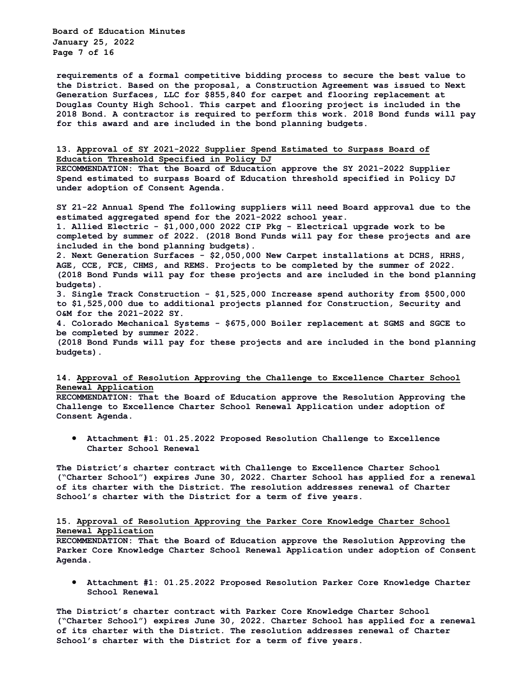**Board of Education Minutes January 25, 2022 Page 7 of 16**

**requirements of a formal competitive bidding process to secure the best value to the District. Based on the proposal, a Construction Agreement was issued to Next Generation Surfaces, LLC for \$855,840 for carpet and flooring replacement at Douglas County High School. This carpet and flooring project is included in the 2018 Bond. A contractor is required to perform this work. 2018 Bond funds will pay for this award and are included in the bond planning budgets.**

# **13. Approval of SY 2021-2022 Supplier Spend Estimated to Surpass Board of Education Threshold Specified in Policy DJ**

**RECOMMENDATION: That the Board of Education approve the SY 2021-2022 Supplier Spend estimated to surpass Board of Education threshold specified in Policy DJ under adoption of Consent Agenda.**

**SY 21-22 Annual Spend The following suppliers will need Board approval due to the estimated aggregated spend for the 2021-2022 school year. 1. Allied Electric - \$1,000,000 2022 CIP Pkg - Electrical upgrade work to be** 

**completed by summer of 2022. (2018 Bond Funds will pay for these projects and are included in the bond planning budgets).** 

**2. Next Generation Surfaces - \$2,050,000 New Carpet installations at DCHS, HRHS, AGE, CCE, FCE, CHMS, and REMS. Projects to be completed by the summer of 2022. (2018 Bond Funds will pay for these projects and are included in the bond planning budgets).** 

**3. Single Track Construction - \$1,525,000 Increase spend authority from \$500,000 to \$1,525,000 due to additional projects planned for Construction, Security and O&M for the 2021-2022 SY.** 

**4. Colorado Mechanical Systems - \$675,000 Boiler replacement at SGMS and SGCE to be completed by summer 2022.** 

**(2018 Bond Funds will pay for these projects and are included in the bond planning budgets).**

# **14. Approval of Resolution Approving the Challenge to Excellence Charter School Renewal Application**

**RECOMMENDATION: That the Board of Education approve the Resolution Approving the Challenge to Excellence Charter School Renewal Application under adoption of Consent Agenda.**

• **Attachment #1: 01.25.2022 Proposed Resolution Challenge to Excellence Charter School Renewal**

**The District's charter contract with Challenge to Excellence Charter School ("Charter School") expires June 30, 2022. Charter School has applied for a renewal of its charter with the District. The resolution addresses renewal of Charter School's charter with the District for a term of five years.**

# **15. Approval of Resolution Approving the Parker Core Knowledge Charter School Renewal Application**

**RECOMMENDATION: That the Board of Education approve the Resolution Approving the Parker Core Knowledge Charter School Renewal Application under adoption of Consent Agenda.**

• **Attachment #1: 01.25.2022 Proposed Resolution Parker Core Knowledge Charter School Renewal**

**The District's charter contract with Parker Core Knowledge Charter School ("Charter School") expires June 30, 2022. Charter School has applied for a renewal of its charter with the District. The resolution addresses renewal of Charter School's charter with the District for a term of five years.**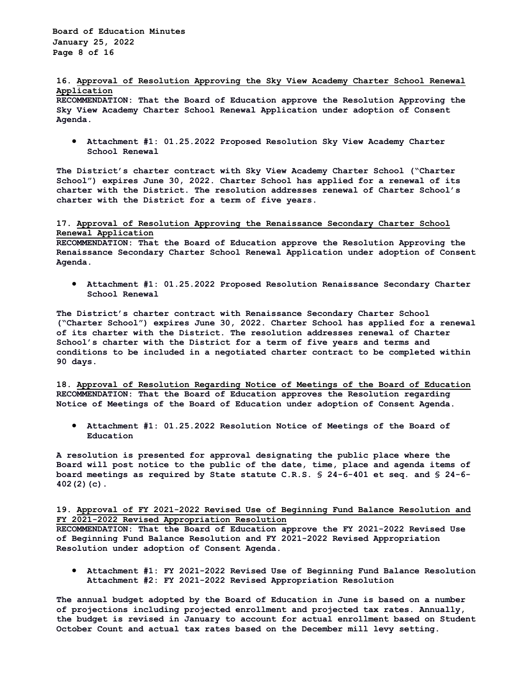### **16. Approval of Resolution Approving the Sky View Academy Charter School Renewal Application**

**RECOMMENDATION: That the Board of Education approve the Resolution Approving the Sky View Academy Charter School Renewal Application under adoption of Consent Agenda.**

• **Attachment #1: 01.25.2022 Proposed Resolution Sky View Academy Charter School Renewal**

**The District's charter contract with Sky View Academy Charter School ("Charter School") expires June 30, 2022. Charter School has applied for a renewal of its charter with the District. The resolution addresses renewal of Charter School's charter with the District for a term of five years.**

# **17. Approval of Resolution Approving the Renaissance Secondary Charter School Renewal Application**

**RECOMMENDATION: That the Board of Education approve the Resolution Approving the Renaissance Secondary Charter School Renewal Application under adoption of Consent Agenda.**

• **Attachment #1: 01.25.2022 Proposed Resolution Renaissance Secondary Charter School Renewal**

**The District's charter contract with Renaissance Secondary Charter School ("Charter School") expires June 30, 2022. Charter School has applied for a renewal of its charter with the District. The resolution addresses renewal of Charter School's charter with the District for a term of five years and terms and conditions to be included in a negotiated charter contract to be completed within 90 days.**

**18. Approval of Resolution Regarding Notice of Meetings of the Board of Education RECOMMENDATION: That the Board of Education approves the Resolution regarding Notice of Meetings of the Board of Education under adoption of Consent Agenda.**

• **Attachment #1: 01.25.2022 Resolution Notice of Meetings of the Board of Education**

**A resolution is presented for approval designating the public place where the Board will post notice to the public of the date, time, place and agenda items of board meetings as required by State statute C.R.S. § 24-6-401 et seq. and § 24-6- 402(2)(c).**

# **19. Approval of FY 2021-2022 Revised Use of Beginning Fund Balance Resolution and FY 2021-2022 Revised Appropriation Resolution**

**RECOMMENDATION: That the Board of Education approve the FY 2021-2022 Revised Use of Beginning Fund Balance Resolution and FY 2021-2022 Revised Appropriation Resolution under adoption of Consent Agenda.**

• **Attachment #1: FY 2021-2022 Revised Use of Beginning Fund Balance Resolution Attachment #2: FY 2021-2022 Revised Appropriation Resolution**

**The annual budget adopted by the Board of Education in June is based on a number of projections including projected enrollment and projected tax rates. Annually, the budget is revised in January to account for actual enrollment based on Student October Count and actual tax rates based on the December mill levy setting.**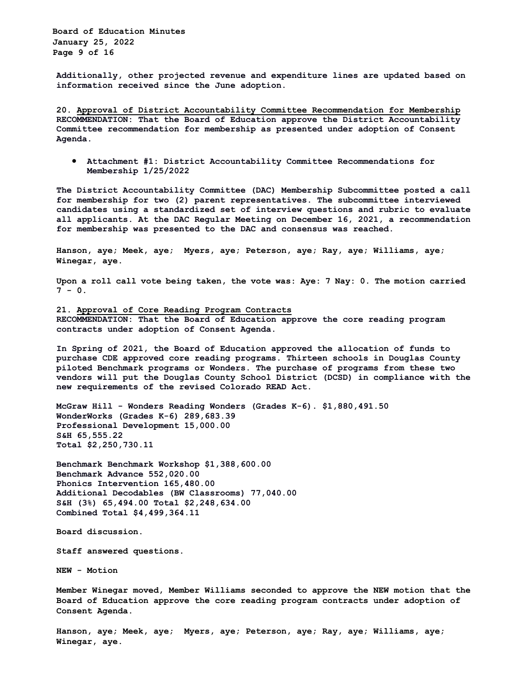**Board of Education Minutes January 25, 2022 Page 9 of 16**

**Additionally, other projected revenue and expenditure lines are updated based on information received since the June adoption.**

**20. Approval of District Accountability Committee Recommendation for Membership RECOMMENDATION: That the Board of Education approve the District Accountability Committee recommendation for membership as presented under adoption of Consent Agenda.**

• **Attachment #1: District Accountability Committee Recommendations for Membership 1/25/2022**

**The District Accountability Committee (DAC) Membership Subcommittee posted a call for membership for two (2) parent representatives. The subcommittee interviewed candidates using a standardized set of interview questions and rubric to evaluate all applicants. At the DAC Regular Meeting on December 16, 2021, a recommendation for membership was presented to the DAC and consensus was reached.**

**Hanson, aye; Meek, aye; Myers, aye; Peterson, aye; Ray, aye; Williams, aye; Winegar, aye.**

**Upon a roll call vote being taken, the vote was: Aye: 7 Nay: 0. The motion carried 7 - 0.**

**21. Approval of Core Reading Program Contracts RECOMMENDATION: That the Board of Education approve the core reading program contracts under adoption of Consent Agenda.**

**In Spring of 2021, the Board of Education approved the allocation of funds to purchase CDE approved core reading programs. Thirteen schools in Douglas County piloted Benchmark programs or Wonders. The purchase of programs from these two vendors will put the Douglas County School District (DCSD) in compliance with the new requirements of the revised Colorado READ Act.** 

**McGraw Hill - Wonders Reading Wonders (Grades K-6). \$1,880,491.50 WonderWorks (Grades K-6) 289,683.39 Professional Development 15,000.00 S&H 65,555.22 Total \$2,250,730.11** 

**Benchmark Benchmark Workshop \$1,388,600.00 Benchmark Advance 552,020.00 Phonics Intervention 165,480.00 Additional Decodables (BW Classrooms) 77,040.00 S&H (3%) 65,494.00 Total \$2,248,634.00 Combined Total \$4,499,364.11**

**Board discussion.**

**Staff answered questions.**

**NEW - Motion** 

**Member Winegar moved, Member Williams seconded to approve the NEW motion that the Board of Education approve the core reading program contracts under adoption of Consent Agenda.** 

**Hanson, aye; Meek, aye; Myers, aye; Peterson, aye; Ray, aye; Williams, aye; Winegar, aye.**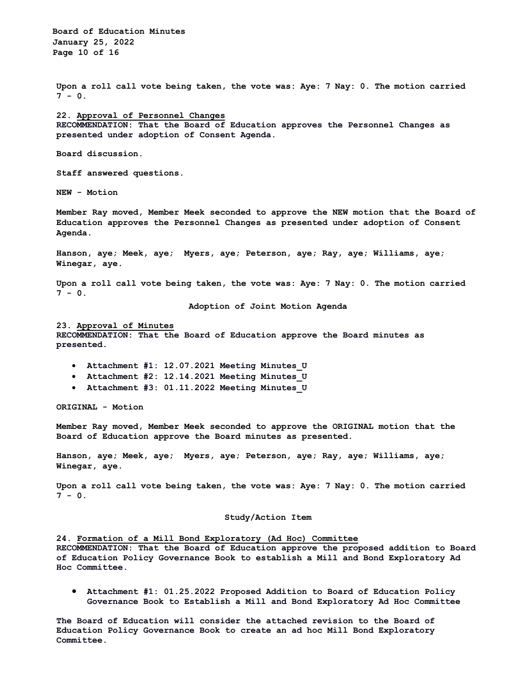**Board of Education Minutes January 25, 2022 Page 10 of 16**

**Upon a roll call vote being taken, the vote was: Aye: 7 Nay: 0. The motion carried 7 - 0.**

**22. Approval of Personnel Changes RECOMMENDATION: That the Board of Education approves the Personnel Changes as presented under adoption of Consent Agenda.**

**Board discussion.**

**Staff answered questions.** 

**NEW - Motion** 

**Member Ray moved, Member Meek seconded to approve the NEW motion that the Board of Education approves the Personnel Changes as presented under adoption of Consent Agenda.** 

**Hanson, aye; Meek, aye; Myers, aye; Peterson, aye; Ray, aye; Williams, aye; Winegar, aye.**

**Upon a roll call vote being taken, the vote was: Aye: 7 Nay: 0. The motion carried 7 - 0.**

**Adoption of Joint Motion Agenda**

#### **23. Approval of Minutes**

**RECOMMENDATION: That the Board of Education approve the Board minutes as presented.**

- **Attachment #1: 12.07.2021 Meeting Minutes\_U**
- **Attachment #2: 12.14.2021 Meeting Minutes\_U**
- **Attachment #3: 01.11.2022 Meeting Minutes\_U**

**ORIGINAL - Motion**

**Member Ray moved, Member Meek seconded to approve the ORIGINAL motion that the Board of Education approve the Board minutes as presented.** 

**Hanson, aye; Meek, aye; Myers, aye; Peterson, aye; Ray, aye; Williams, aye; Winegar, aye.**

**Upon a roll call vote being taken, the vote was: Aye: 7 Nay: 0. The motion carried 7 - 0.**

#### **Study/Action Item**

**24. Formation of a Mill Bond Exploratory (Ad Hoc) Committee RECOMMENDATION: That the Board of Education approve the proposed addition to Board of Education Policy Governance Book to establish a Mill and Bond Exploratory Ad Hoc Committee.**

• **Attachment #1: 01.25.2022 Proposed Addition to Board of Education Policy Governance Book to Establish a Mill and Bond Exploratory Ad Hoc Committee**

**The Board of Education will consider the attached revision to the Board of Education Policy Governance Book to create an ad hoc Mill Bond Exploratory Committee.**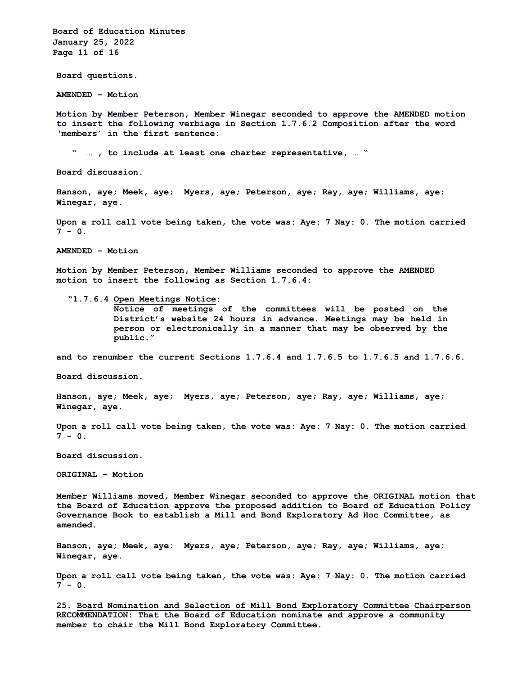**Board of Education Minutes January 25, 2022 Page 11 of 16 Board questions. AMENDED – Motion Motion by Member Peterson, Member Winegar seconded to approve the AMENDED motion to insert the following verbiage in Section 1.7.6.2 Composition after the word 'members' in the first sentence: " … , to include at least one charter representative, … " Board discussion. Hanson, aye; Meek, aye; Myers, aye; Peterson, aye; Ray, aye; Williams, aye; Winegar, aye. Upon a roll call vote being taken, the vote was: Aye: 7 Nay: 0. The motion carried**  $7 - 0.$ **AMENDED – Motion Motion by Member Peterson, Member Williams seconded to approve the AMENDED motion to insert the following as Section 1.7.6.4: "1.7.6.4 Open Meetings Notice: Notice of meetings of the committees will be posted on the District's website 24 hours in advance. Meetings may be held in person or electronically in a manner that may be observed by the public." and to renumber the current Sections 1.7.6.4 and 1.7.6.5 to 1.7.6.5 and 1.7.6.6. Board discussion. Hanson, aye; Meek, aye; Myers, aye; Peterson, aye; Ray, aye; Williams, aye; Winegar, aye. Upon a roll call vote being taken, the vote was: Aye: 7 Nay: 0. The motion carried 7 - 0. Board discussion. ORIGINAL - Motion Member Williams moved, Member Winegar seconded to approve the ORIGINAL motion that the Board of Education approve the proposed addition to Board of Education Policy Governance Book to establish a Mill and Bond Exploratory Ad Hoc Committee, as amended. Hanson, aye; Meek, aye; Myers, aye; Peterson, aye; Ray, aye; Williams, aye; Winegar, aye. Upon a roll call vote being taken, the vote was: Aye: 7 Nay: 0. The motion carried**  $7 - 0.$ 

**25. Board Nomination and Selection of Mill Bond Exploratory Committee Chairperson RECOMMENDATION: That the Board of Education nominate and approve a community member to chair the Mill Bond Exploratory Committee.**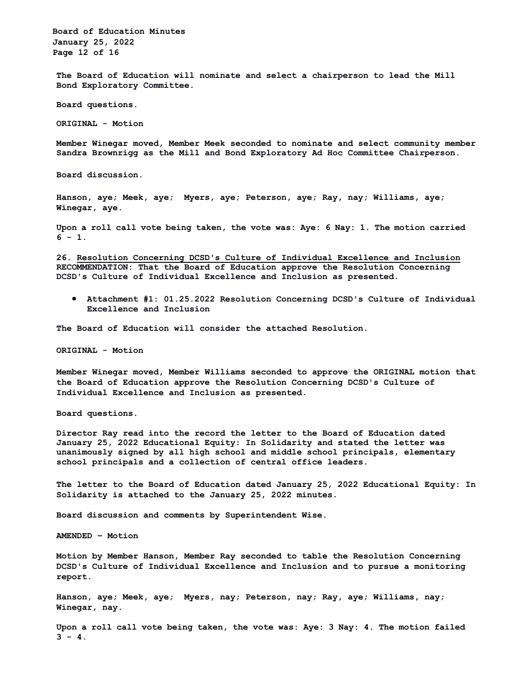**Board of Education Minutes January 25, 2022 Page 12 of 16**

**The Board of Education will nominate and select a chairperson to lead the Mill Bond Exploratory Committee.**

**Board questions.** 

**ORIGINAL - Motion** 

**Member Winegar moved, Member Meek seconded to nominate and select community member Sandra Brownrigg as the Mill and Bond Exploratory Ad Hoc Committee Chairperson.**

**Board discussion.**

**Hanson, aye; Meek, aye; Myers, aye; Peterson, aye; Ray, nay; Williams, aye; Winegar, aye.**

**Upon a roll call vote being taken, the vote was: Aye: 6 Nay: 1. The motion carried 6 - 1.**

**26. Resolution Concerning DCSD's Culture of Individual Excellence and Inclusion RECOMMENDATION: That the Board of Education approve the Resolution Concerning DCSD's Culture of Individual Excellence and Inclusion as presented.**

• **Attachment #1: 01.25.2022 Resolution Concerning DCSD's Culture of Individual Excellence and Inclusion**

**The Board of Education will consider the attached Resolution.**

**ORIGINAL - Motion**

**Member Winegar moved, Member Williams seconded to approve the ORIGINAL motion that the Board of Education approve the Resolution Concerning DCSD's Culture of Individual Excellence and Inclusion as presented.**

**Board questions.**

**Director Ray read into the record the letter to the Board of Education dated January 25, 2022 Educational Equity: In Solidarity and stated the letter was unanimously signed by all high school and middle school principals, elementary school principals and a collection of central office leaders.** 

**The letter to the Board of Education dated January 25, 2022 Educational Equity: In Solidarity is attached to the January 25, 2022 minutes.**

**Board discussion and comments by Superintendent Wise.**

**AMENDED – Motion**

**Motion by Member Hanson, Member Ray seconded to table the Resolution Concerning DCSD's Culture of Individual Excellence and Inclusion and to pursue a monitoring report.**

**Hanson, aye; Meek, aye; Myers, nay; Peterson, nay; Ray, aye; Williams, nay; Winegar, nay.**

**Upon a roll call vote being taken, the vote was: Aye: 3 Nay: 4. The motion failed**  $3 - 4$ .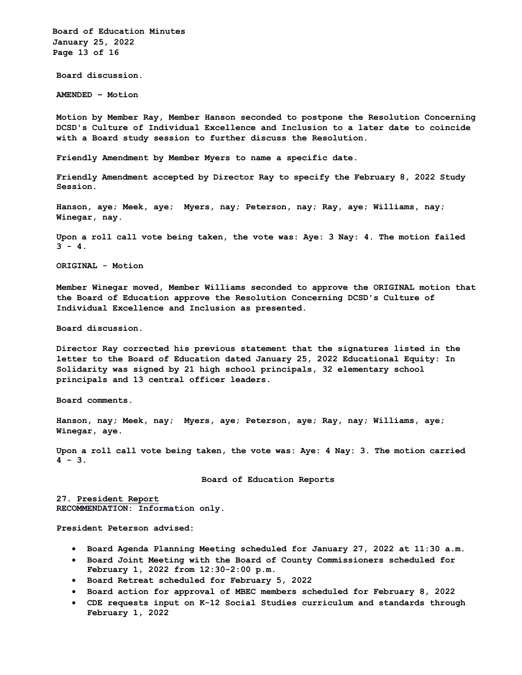**Board of Education Minutes January 25, 2022 Page 13 of 16**

**Board discussion.**

**AMENDED – Motion**

**Motion by Member Ray, Member Hanson seconded to postpone the Resolution Concerning DCSD's Culture of Individual Excellence and Inclusion to a later date to coincide with a Board study session to further discuss the Resolution.**

**Friendly Amendment by Member Myers to name a specific date.**

**Friendly Amendment accepted by Director Ray to specify the February 8, 2022 Study Session.**

**Hanson, aye; Meek, aye; Myers, nay; Peterson, nay; Ray, aye; Williams, nay; Winegar, nay.**

**Upon a roll call vote being taken, the vote was: Aye: 3 Nay: 4. The motion failed**  $3 - 4$ .

**ORIGINAL - Motion**

**Member Winegar moved, Member Williams seconded to approve the ORIGINAL motion that the Board of Education approve the Resolution Concerning DCSD's Culture of Individual Excellence and Inclusion as presented.**

**Board discussion.**

**Director Ray corrected his previous statement that the signatures listed in the letter to the Board of Education dated January 25, 2022 Educational Equity: In Solidarity was signed by 21 high school principals, 32 elementary school principals and 13 central officer leaders.**

**Board comments.**

**Hanson, nay; Meek, nay; Myers, aye; Peterson, aye; Ray, nay; Williams, aye; Winegar, aye.**

**Upon a roll call vote being taken, the vote was: Aye: 4 Nay: 3. The motion carried 4 - 3.**

**Board of Education Reports**

**27. President Report RECOMMENDATION: Information only.**

**President Peterson advised:**

- **Board Agenda Planning Meeting scheduled for January 27, 2022 at 11:30 a.m.**
- **Board Joint Meeting with the Board of County Commissioners scheduled for February 1, 2022 from 12:30-2:00 p.m.**
- **Board Retreat scheduled for February 5, 2022**
- **Board action for approval of MBEC members scheduled for February 8, 2022**
- **CDE requests input on K-12 Social Studies curriculum and standards through February 1, 2022**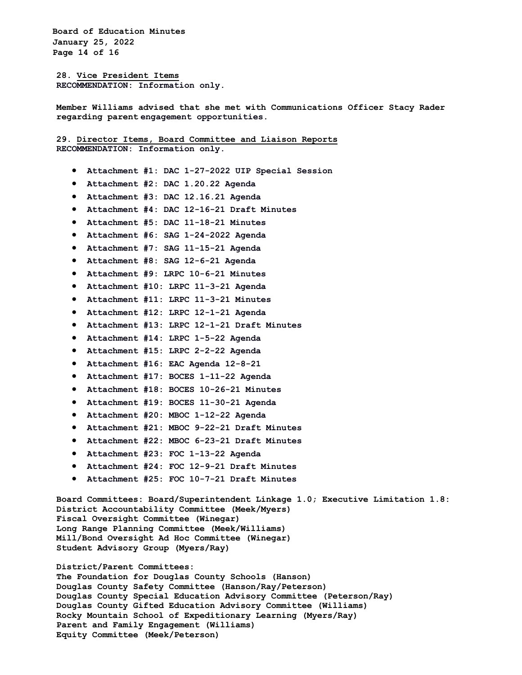**Board of Education Minutes January 25, 2022 Page 14 of 16**

**28. Vice President Items RECOMMENDATION: Information only.**

**Member Williams advised that she met with Communications Officer Stacy Rader regarding parent engagement opportunities.**

**29. Director Items, Board Committee and Liaison Reports RECOMMENDATION: Information only.**

- **Attachment #1: DAC 1-27-2022 UIP Special Session**
- **Attachment #2: DAC 1.20.22 Agenda**
- **Attachment #3: DAC 12.16.21 Agenda**
- **Attachment #4: DAC 12-16-21 Draft Minutes**
- **Attachment #5: DAC 11-18-21 Minutes**
- **Attachment #6: SAG 1-24-2022 Agenda**
- **Attachment #7: SAG 11-15-21 Agenda**
- **Attachment #8: SAG 12-6-21 Agenda**
- **Attachment #9: LRPC 10-6-21 Minutes**
- **Attachment #10: LRPC 11-3-21 Agenda**
- **Attachment #11: LRPC 11-3-21 Minutes**
- **Attachment #12: LRPC 12-1-21 Agenda**
- **Attachment #13: LRPC 12-1-21 Draft Minutes**
- **Attachment #14: LRPC 1-5-22 Agenda**
- **Attachment #15: LRPC 2-2-22 Agenda**
- **Attachment #16: EAC Agenda 12-8-21**
- **Attachment #17: BOCES 1-11-22 Agenda**
- **Attachment #18: BOCES 10-26-21 Minutes**
- **Attachment #19: BOCES 11-30-21 Agenda**
- **Attachment #20: MBOC 1-12-22 Agenda**
- **Attachment #21: MBOC 9-22-21 Draft Minutes**
- **Attachment #22: MBOC 6-23-21 Draft Minutes**
- **Attachment #23: FOC 1-13-22 Agenda**
- **Attachment #24: FOC 12-9-21 Draft Minutes**
- **Attachment #25: FOC 10-7-21 Draft Minutes**

**Board Committees: Board/Superintendent Linkage 1.0; Executive Limitation 1.8: District Accountability Committee (Meek/Myers) Fiscal Oversight Committee (Winegar) Long Range Planning Committee (Meek/Williams) Mill/Bond Oversight Ad Hoc Committee (Winegar) Student Advisory Group (Myers/Ray)** 

**District/Parent Committees:** 

**The Foundation for Douglas County Schools (Hanson) Douglas County Safety Committee (Hanson/Ray/Peterson) Douglas County Special Education Advisory Committee (Peterson/Ray) Douglas County Gifted Education Advisory Committee (Williams) Rocky Mountain School of Expeditionary Learning (Myers/Ray) Parent and Family Engagement (Williams) Equity Committee (Meek/Peterson)**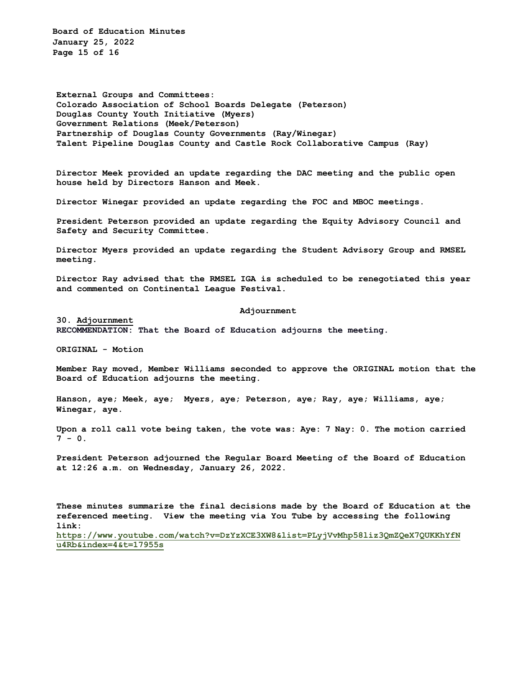**Board of Education Minutes January 25, 2022 Page 15 of 16**

**External Groups and Committees: Colorado Association of School Boards Delegate (Peterson) Douglas County Youth Initiative (Myers) Government Relations (Meek/Peterson) Partnership of Douglas County Governments (Ray/Winegar) Talent Pipeline Douglas County and Castle Rock Collaborative Campus (Ray)**

**Director Meek provided an update regarding the DAC meeting and the public open house held by Directors Hanson and Meek.**

**Director Winegar provided an update regarding the FOC and MBOC meetings.**

**President Peterson provided an update regarding the Equity Advisory Council and Safety and Security Committee.**

**Director Myers provided an update regarding the Student Advisory Group and RMSEL meeting.**

**Director Ray advised that the RMSEL IGA is scheduled to be renegotiated this year and commented on Continental League Festival.**

**Adjournment**

**30. Adjournment**

**RECOMMENDATION: That the Board of Education adjourns the meeting.**

**ORIGINAL - Motion**

**Member Ray moved, Member Williams seconded to approve the ORIGINAL motion that the Board of Education adjourns the meeting.**

**Hanson, aye; Meek, aye; Myers, aye; Peterson, aye; Ray, aye; Williams, aye; Winegar, aye.**

**Upon a roll call vote being taken, the vote was: Aye: 7 Nay: 0. The motion carried**  $7 - 0.$ 

**President Peterson adjourned the Regular Board Meeting of the Board of Education at 12:26 a.m. on Wednesday, January 26, 2022.** 

**These minutes summarize the final decisions made by the Board of Education at the referenced meeting. View the meeting via You Tube by accessing the following link:**

**https://www.youtube.com/watch?v=DzYzXCE3XW8&list=PLyjVvMhp58liz3QmZQeX7QUKKhYfN u4Rb&index=4&t=17955s**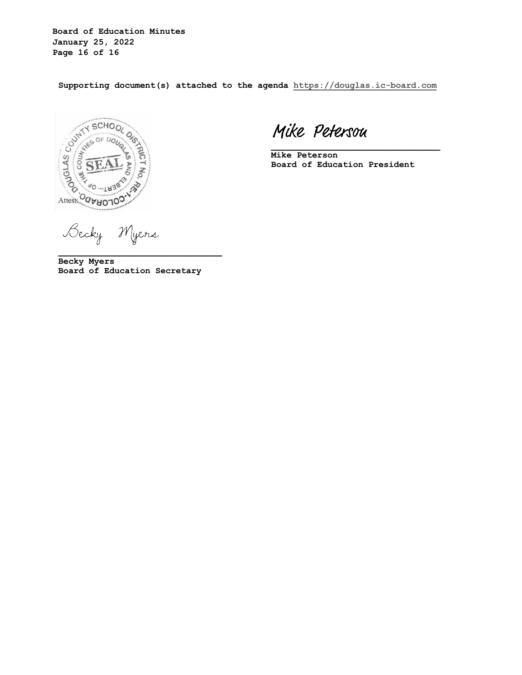**Board of Education Minutes January 25, 2022 Page 16 of 16**

**Supporting document(s) attached to the agenda https://douglas.ic-board.com**



Mike Petersou

**Mike Peterson Board of Education President**

**\_\_\_\_\_\_\_\_\_\_\_\_\_\_\_\_\_\_\_\_\_\_\_\_\_\_\_\_\_\_\_\_\_**

Becky Myers

**Becky Myers Board of Education Secretary**

**\_\_\_\_\_\_\_\_\_\_\_\_\_\_\_\_\_\_\_\_\_\_\_\_\_\_\_\_\_\_\_\_**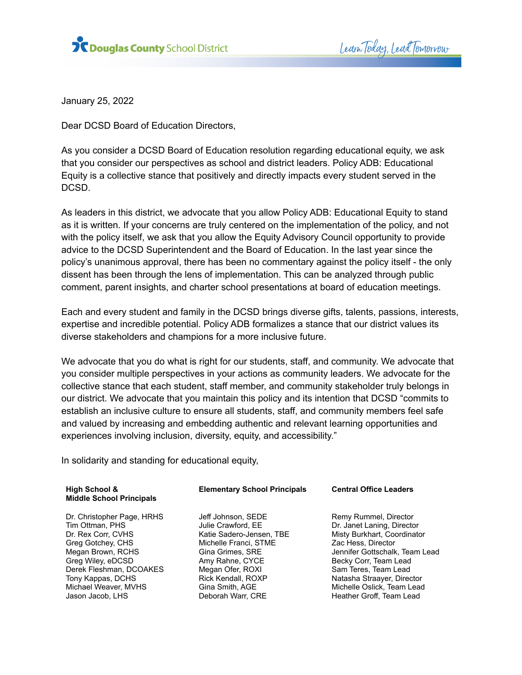

Learn Today, Lead Tomorrow

January 25, 2022

Dear DCSD Board of Education Directors,

As you consider a DCSD Board of Education resolution regarding educational equity, we ask that you consider our perspectives as school and district leaders. Policy ADB: Educational Equity is a collective stance that positively and directly impacts every student served in the DCSD.

As leaders in this district, we advocate that you allow Policy ADB: Educational Equity to stand as it is written. If your concerns are truly centered on the implementation of the policy, and not with the policy itself, we ask that you allow the Equity Advisory Council opportunity to provide advice to the DCSD Superintendent and the Board of Education. In the last year since the policy's unanimous approval, there has been no commentary against the policy itself - the only dissent has been through the lens of implementation. This can be analyzed through public comment, parent insights, and charter school presentations at board of education meetings.

Each and every student and family in the DCSD brings diverse gifts, talents, passions, interests, expertise and incredible potential. Policy ADB formalizes a stance that our district values its diverse stakeholders and champions for a more inclusive future.

We advocate that you do what is right for our students, staff, and community. We advocate that you consider multiple perspectives in your actions as community leaders. We advocate for the collective stance that each student, staff member, and community stakeholder truly belongs in our district. We advocate that you maintain this policy and its intention that DCSD "commits to establish an inclusive culture to ensure all students, staff, and community members feel safe and valued by increasing and embedding authentic and relevant learning opportunities and experiences involving inclusion, diversity, equity, and accessibility."

In solidarity and standing for educational equity,

| High School &<br><b>Middle School Principals</b> | <b>Elementary School Principals</b> | <b>Central Office Leaders</b>  |
|--------------------------------------------------|-------------------------------------|--------------------------------|
| Dr. Christopher Page, HRHS                       | Jeff Johnson, SEDE                  | Remy Rummel, Director          |
| Tim Ottman, PHS                                  | Julie Crawford, EE                  | Dr. Janet Laning, Director     |
| Dr. Rex Corr, CVHS                               | Katie Sadero-Jensen, TBE            | Misty Burkhart, Coordinator    |
| Greg Gotchey, CHS                                | Michelle Franci, STME               | Zac Hess, Director             |
| Megan Brown, RCHS                                | Gina Grimes, SRE                    | Jennifer Gottschalk, Team Lead |
| Greg Wiley, eDCSD                                | Amy Rahne, CYCE                     | Becky Corr, Team Lead          |
| Derek Fleshman, DCOAKES                          | Megan Ofer, ROXI                    | Sam Teres, Team Lead           |
| Tony Kappas, DCHS                                | Rick Kendall, ROXP                  | Natasha Straayer, Director     |
| Michael Weaver, MVHS                             | Gina Smith, AGE                     | Michelle Oslick, Team Lead     |
| Jason Jacob, LHS                                 | Deborah Warr, CRE                   | Heather Groff, Team Lead       |